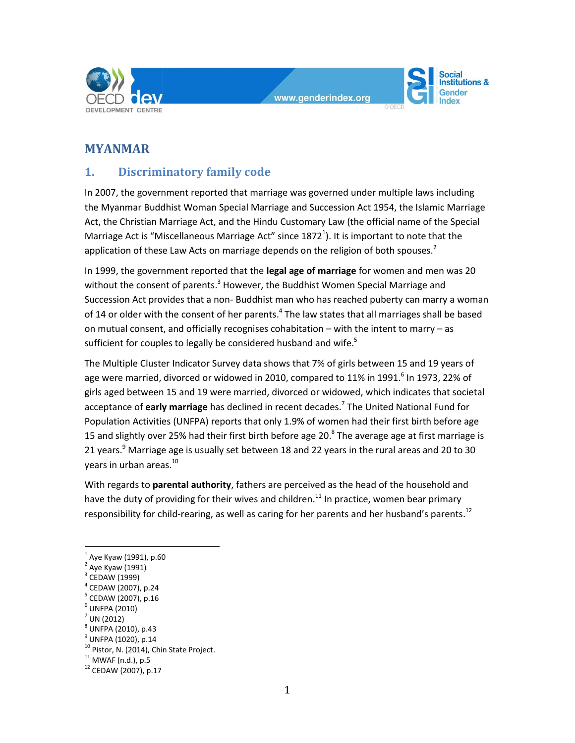



# **MYANMAR**

# **1. Discriminatory family code**

In 2007, the government reported that marriage was governed under multiple laws including the Myanmar Buddhist Woman Special Marriage and Succession Act 1954, the Islamic Marriage Act, the Christian Marriage Act, and the Hindu Customary Law (the official name of the Special Marriage Act is "Miscellaneous Marriage Act" since  $1872<sup>1</sup>$ ). It is important to note that the application of these Law Acts on marriage depends on the religion of both spouses.<sup>2</sup>

In 1999, the government reported that the **legal age of marriage** for women and men was 20 without the consent of parents.<sup>3</sup> However, the Buddhist Women Special Marriage and Succession Act provides that a non- Buddhist man who has reached puberty can marry a woman of 14 or older with the consent of her parents.<sup>4</sup> The law states that all marriages shall be based on mutual consent, and officially recognises cohabitation – with the intent to marry – as sufficient for couples to legally be considered husband and wife.<sup>5</sup>

The Multiple Cluster Indicator Survey data shows that 7% of girls between 15 and 19 years of age were married, divorced or widowed in 2010, compared to 11% in 1991. $^6$  In 1973, 22% of girls aged between 15 and 19 were married, divorced or widowed, which indicates that societal acceptance of **early marriage** has declined in recent decades. 7 The United National Fund for Population Activities (UNFPA) reports that only 1.9% of women had their first birth before age 15 and slightly over 25% had their first birth before age 20. $^8$  The average age at first marriage is 21 years.<sup>9</sup> Marriage age is usually set between 18 and 22 years in the rural areas and 20 to 30 vears in urban areas.<sup>10</sup>

With regards to **parental authority**, fathers are perceived as the head of the household and have the duty of providing for their wives and children.<sup>11</sup> In practice, women bear primary responsibility for child-rearing, as well as caring for her parents and her husband's parents.<sup>12</sup>

- 6 UNFPA (2010)
- $^7$  UN (2012)

 $\overline{a}$ 

 $^{1}$  Aye Kyaw (1991), p.60

<sup>&</sup>lt;sup>2</sup> Aye Kyaw (1991)

<sup>3</sup> CEDAW (1999)

<sup>4</sup> CEDAW (2007), p.24

<sup>&</sup>lt;sup>5</sup> CEDAW (2007), p.16

 $^8$  UNFPA (2010), p.43

<sup>&</sup>lt;sup>9</sup> UNFPA (1020), p.14

<sup>&</sup>lt;sup>10</sup> Pistor, N. (2014), Chin State Project.

 $11$  MWAF (n.d.), p.5

 $12$  CEDAW (2007), p.17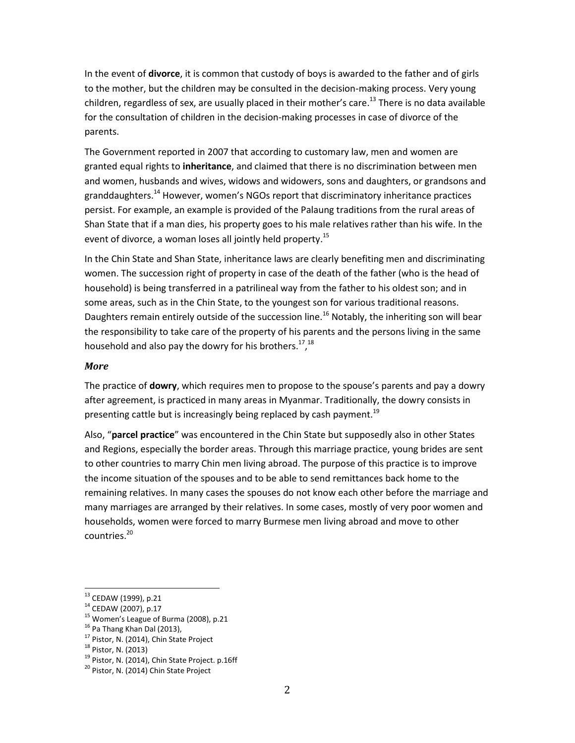In the event of **divorce**, it is common that custody of boys is awarded to the father and of girls to the mother, but the children may be consulted in the decision-making process. Very young children, regardless of sex, are usually placed in their mother's care.<sup>13</sup> There is no data available for the consultation of children in the decision-making processes in case of divorce of the parents.

The Government reported in 2007 that according to customary law, men and women are granted equal rights to **inheritance**, and claimed that there is no discrimination between men and women, husbands and wives, widows and widowers, sons and daughters, or grandsons and granddaughters.<sup>14</sup> However, women's NGOs report that discriminatory inheritance practices persist. For example, an example is provided of the Palaung traditions from the rural areas of Shan State that if a man dies, his property goes to his male relatives rather than his wife. In the event of divorce, a woman loses all jointly held property.<sup>15</sup>

In the Chin State and Shan State, inheritance laws are clearly benefiting men and discriminating women. The succession right of property in case of the death of the father (who is the head of household) is being transferred in a patrilineal way from the father to his oldest son; and in some areas, such as in the Chin State, to the youngest son for various traditional reasons. Daughters remain entirely outside of the succession line.<sup>16</sup> Notably, the inheriting son will bear the responsibility to take care of the property of his parents and the persons living in the same household and also pay the dowry for his brothers.<sup>17</sup>,<sup>18</sup>

### *More*

The practice of **dowry**, which requires men to propose to the spouse's parents and pay a dowry after agreement, is practiced in many areas in Myanmar. Traditionally, the dowry consists in presenting cattle but is increasingly being replaced by cash payment.<sup>19</sup>

Also, "**parcel practice**" was encountered in the Chin State but supposedly also in other States and Regions, especially the border areas. Through this marriage practice, young brides are sent to other countries to marry Chin men living abroad. The purpose of this practice is to improve the income situation of the spouses and to be able to send remittances back home to the remaining relatives. In many cases the spouses do not know each other before the marriage and many marriages are arranged by their relatives. In some cases, mostly of very poor women and households, women were forced to marry Burmese men living abroad and move to other countries.<sup>20</sup>

 $\overline{a}$ 

<sup>13</sup> CEDAW (1999), p.21

<sup>14</sup> CEDAW (2007), p.17

<sup>&</sup>lt;sup>15</sup> Women's League of Burma (2008), p.21

<sup>&</sup>lt;sup>16</sup> Pa Thang Khan Dal (2013),

<sup>&</sup>lt;sup>17</sup> Pistor, N. (2014), Chin State Project

<sup>18</sup> Pistor, N. (2013)

<sup>&</sup>lt;sup>19</sup> Pistor, N. (2014), Chin State Project. p.16ff

<sup>&</sup>lt;sup>20</sup> Pistor, N. (2014) Chin State Project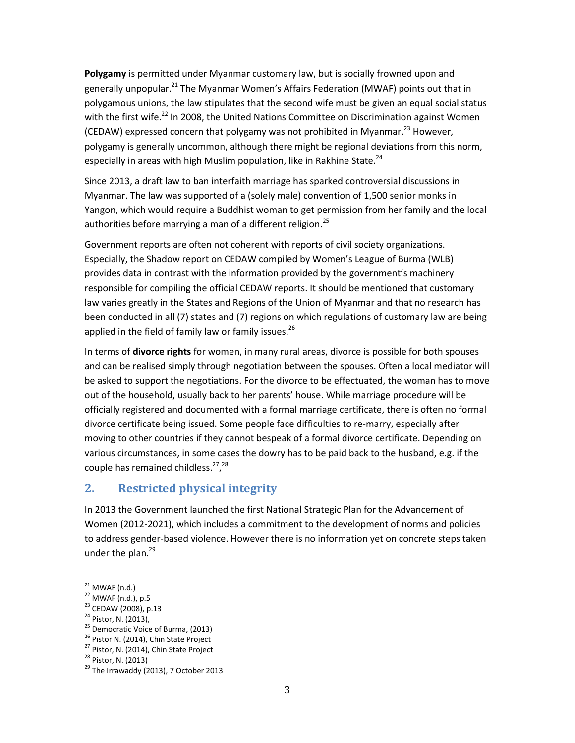**Polygamy** is permitted under Myanmar customary law, but is socially frowned upon and generally unpopular.<sup>21</sup> The Myanmar Women's Affairs Federation (MWAF) points out that in polygamous unions, the law stipulates that the second wife must be given an equal social status with the first wife.<sup>22</sup> In 2008, the United Nations Committee on Discrimination against Women (CEDAW) expressed concern that polygamy was not prohibited in Myanmar.<sup>23</sup> However, polygamy is generally uncommon, although there might be regional deviations from this norm, especially in areas with high Muslim population, like in Rakhine State. $^{24}$ 

Since 2013, a draft law to ban interfaith marriage has sparked controversial discussions in Myanmar. The law was supported of a (solely male) convention of 1,500 senior monks in Yangon, which would require a Buddhist woman to get permission from her family and the local authorities before marrying a man of a different religion. $^{25}$ 

Government reports are often not coherent with reports of civil society organizations. Especially, the Shadow report on CEDAW compiled by Women's League of Burma (WLB) provides data in contrast with the information provided by the government's machinery responsible for compiling the official CEDAW reports. It should be mentioned that customary law varies greatly in the States and Regions of the Union of Myanmar and that no research has been conducted in all (7) states and (7) regions on which regulations of customary law are being applied in the field of family law or family issues. $^{26}$ 

In terms of **divorce rights** for women, in many rural areas, divorce is possible for both spouses and can be realised simply through negotiation between the spouses. Often a local mediator will be asked to support the negotiations. For the divorce to be effectuated, the woman has to move out of the household, usually back to her parents' house. While marriage procedure will be officially registered and documented with a formal marriage certificate, there is often no formal divorce certificate being issued. Some people face difficulties to re-marry, especially after moving to other countries if they cannot bespeak of a formal divorce certificate. Depending on various circumstances, in some cases the dowry has to be paid back to the husband, e.g. if the couple has remained childless.<sup>27</sup>,<sup>28</sup>

# **2. Restricted physical integrity**

In 2013 the Government launched the first National Strategic Plan for the Advancement of Women (2012-2021), which includes a commitment to the development of norms and policies to address gender-based violence. However there is no information yet on concrete steps taken under the plan.<sup>29</sup>

 $\overline{a}$ 

 $21$  MWAF (n.d.)

<sup>22</sup> MWAF (n.d.), p.5

<sup>23</sup> CEDAW (2008), p.13

<sup>24</sup> Pistor, N. (2013),

<sup>&</sup>lt;sup>25</sup> Democratic Voice of Burma, (2013)

<sup>&</sup>lt;sup>26</sup> Pistor N. (2014), Chin State Project

<sup>&</sup>lt;sup>27</sup> Pistor, N. (2014), Chin State Project

<sup>28</sup> Pistor, N. (2013)

 $29$  The Irrawaddy (2013), 7 October 2013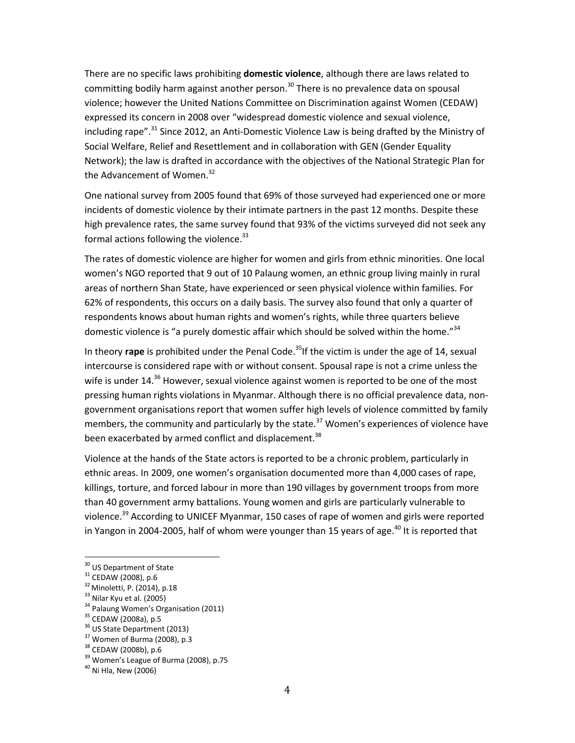There are no specific laws prohibiting **domestic violence**, although there are laws related to committing bodily harm against another person.<sup>30</sup> There is no prevalence data on spousal violence; however the United Nations Committee on Discrimination against Women (CEDAW) expressed its concern in 2008 over "widespread domestic violence and sexual violence, including rape".<sup>31</sup> Since 2012, an Anti-Domestic Violence Law is being drafted by the Ministry of Social Welfare, Relief and Resettlement and in collaboration with GEN (Gender Equality Network); the law is drafted in accordance with the objectives of the National Strategic Plan for the Advancement of Women.<sup>32</sup>

One national survey from 2005 found that 69% of those surveyed had experienced one or more incidents of domestic violence by their intimate partners in the past 12 months. Despite these high prevalence rates, the same survey found that 93% of the victims surveyed did not seek any formal actions following the violence.<sup>33</sup>

The rates of domestic violence are higher for women and girls from ethnic minorities. One local women's NGO reported that 9 out of 10 Palaung women, an ethnic group living mainly in rural areas of northern Shan State, have experienced or seen physical violence within families. For 62% of respondents, this occurs on a daily basis. The survey also found that only a quarter of respondents knows about human rights and women's rights, while three quarters believe domestic violence is "a purely domestic affair which should be solved within the home."<sup>34</sup>

In theory **rape** is prohibited under the Penal Code.<sup>35</sup>If the victim is under the age of 14, sexual intercourse is considered rape with or without consent. Spousal rape is not a crime unless the wife is under  $14^{36}$  However, sexual violence against women is reported to be one of the most pressing human rights violations in Myanmar. Although there is no official prevalence data, nongovernment organisations report that women suffer high levels of violence committed by family members, the community and particularly by the state.<sup>37</sup> Women's experiences of violence have been exacerbated by armed conflict and displacement.<sup>38</sup>

Violence at the hands of the State actors is reported to be a chronic problem, particularly in ethnic areas. In 2009, one women's organisation documented more than 4,000 cases of rape, killings, torture, and forced labour in more than 190 villages by government troops from more than 40 government army battalions. Young women and girls are particularly vulnerable to violence.<sup>39</sup> According to UNICEF Myanmar, 150 cases of rape of women and girls were reported in Yangon in 2004-2005, half of whom were younger than 15 years of age.<sup>40</sup> It is reported that

 $\overline{a}$ 

<sup>34</sup> Palaung Women's Organisation (2011)

<sup>&</sup>lt;sup>30</sup> US Department of State

<sup>31</sup> CEDAW (2008), p.6

<sup>&</sup>lt;sup>32</sup> Minoletti, P. (2014), p.18

<sup>&</sup>lt;sup>33</sup> Nilar Kyu et al. (2005)

<sup>35</sup> CEDAW (2008a), p.5

<sup>&</sup>lt;sup>36</sup> US State Department (2013)

 $37$  Women of Burma (2008), p.3

<sup>38</sup> CEDAW (2008b), p.6

<sup>&</sup>lt;sup>39</sup> Women's League of Burma (2008), p.75

 $40$  Ni Hla, New (2006)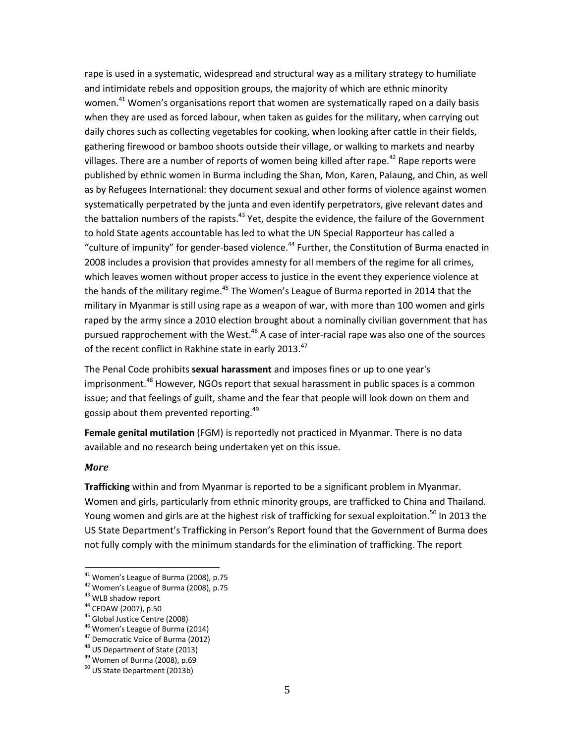rape is used in a systematic, widespread and structural way as a military strategy to humiliate and intimidate rebels and opposition groups, the majority of which are ethnic minority women.<sup>41</sup> Women's organisations report that women are systematically raped on a daily basis when they are used as forced labour, when taken as guides for the military, when carrying out daily chores such as collecting vegetables for cooking, when looking after cattle in their fields, gathering firewood or bamboo shoots outside their village, or walking to markets and nearby villages. There are a number of reports of women being killed after rape.<sup>42</sup> Rape reports were published by ethnic women in Burma including the Shan, Mon, Karen, Palaung, and Chin, as well as by Refugees International: they document sexual and other forms of violence against women systematically perpetrated by the junta and even identify perpetrators, give relevant dates and the battalion numbers of the rapists.<sup>43</sup> Yet, despite the evidence, the failure of the Government to hold State agents accountable has led to what the UN Special Rapporteur has called a "culture of impunity" for gender-based violence.<sup>44</sup> Further, the Constitution of Burma enacted in 2008 includes a provision that provides amnesty for all members of the regime for all crimes, which leaves women without proper access to justice in the event they experience violence at the hands of the military regime.<sup>45</sup> The Women's League of Burma reported in 2014 that the military in Myanmar is still using rape as a weapon of war, with more than 100 women and girls raped by the army since a 2010 election brought about a nominally civilian government that has pursued rapprochement with the West. $46$  A case of inter-racial rape was also one of the sources of the recent conflict in Rakhine state in early 2013.<sup>47</sup>

The Penal Code prohibits **sexual harassment** and imposes fines or up to one year's imprisonment.<sup>48</sup> However, NGOs report that sexual harassment in public spaces is a common issue; and that feelings of guilt, shame and the fear that people will look down on them and gossip about them prevented reporting.<sup>49</sup>

**Female genital mutilation** (FGM) is reportedly not practiced in Myanmar. There is no data available and no research being undertaken yet on this issue.

#### *More*

 $\overline{\phantom{a}}$ 

**Trafficking** within and from Myanmar is reported to be a significant problem in Myanmar. Women and girls, particularly from ethnic minority groups, are trafficked to China and Thailand. Young women and girls are at the highest risk of trafficking for sexual exploitation.<sup>50</sup> In 2013 the US State Department's Trafficking in Person's Report found that the Government of Burma does not fully comply with the minimum standards for the elimination of trafficking. The report

 $41$  Women's League of Burma (2008), p.75

<sup>42</sup> Women's League of Burma (2008), p.75

<sup>&</sup>lt;sup>43</sup> WLB shadow report

<sup>44</sup> CEDAW (2007), p.50

<sup>&</sup>lt;sup>45</sup> Global Justice Centre (2008)

<sup>46</sup> Women's League of Burma (2014)

<sup>47</sup> Democratic Voice of Burma (2012)

<sup>48</sup> US Department of State (2013)

<sup>&</sup>lt;sup>49</sup> Women of Burma (2008), p.69

 $50$  US State Department (2013b)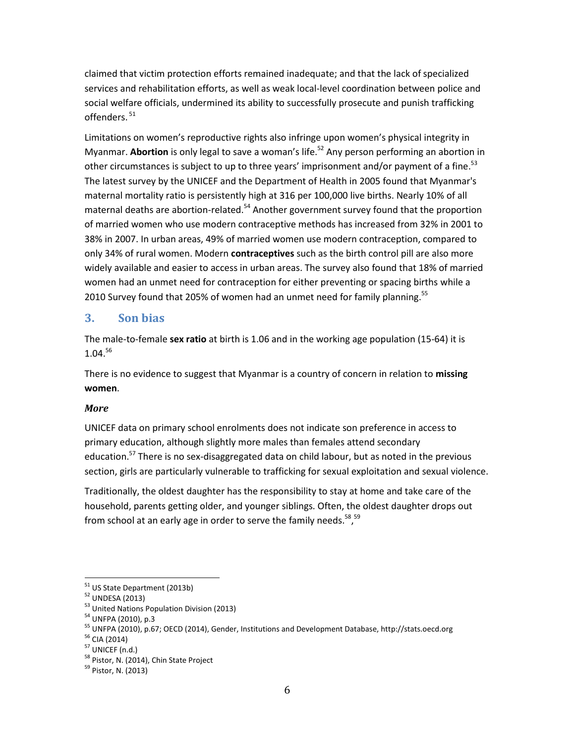claimed that victim protection efforts remained inadequate; and that the lack of specialized services and rehabilitation efforts, as well as weak local-level coordination between police and social welfare officials, undermined its ability to successfully prosecute and punish trafficking offenders. <sup>51</sup>

Limitations on women's reproductive rights also infringe upon women's physical integrity in Myanmar. **Abortion** is only legal to save a woman's life.<sup>52</sup> Any person performing an abortion in other circumstances is subject to up to three years' imprisonment and/or payment of a fine.<sup>53</sup> The latest survey by the UNICEF and the Department of Health in 2005 found that Myanmar's maternal mortality ratio is persistently high at 316 per 100,000 live births. Nearly 10% of all maternal deaths are abortion-related.<sup>54</sup> Another government survey found that the proportion of married women who use modern contraceptive methods has increased from 32% in 2001 to 38% in 2007. In urban areas, 49% of married women use modern contraception, compared to only 34% of rural women. Modern **contraceptives** such as the birth control pill are also more widely available and easier to access in urban areas. The survey also found that 18% of married women had an unmet need for contraception for either preventing or spacing births while a 2010 Survey found that 205% of women had an unmet need for family planning.<sup>55</sup>

## **3. Son bias**

The male-to-female **sex ratio** at birth is 1.06 and in the working age population (15-64) it is  $1.04.<sup>56</sup>$ 

There is no evidence to suggest that Myanmar is a country of concern in relation to **missing women**.

## *More*

UNICEF data on primary school enrolments does not indicate son preference in access to primary education, although slightly more males than females attend secondary education.<sup>57</sup> There is no sex-disaggregated data on child labour, but as noted in the previous section, girls are particularly vulnerable to trafficking for sexual exploitation and sexual violence.

Traditionally, the oldest daughter has the responsibility to stay at home and take care of the household, parents getting older, and younger siblings. Often, the oldest daughter drops out from school at an early age in order to serve the family needs.<sup>58</sup>,<sup>59</sup>

<sup>51</sup> US State Department (2013b)

<sup>52</sup> UNDESA (2013)

<sup>&</sup>lt;sup>53</sup> United Nations Population Division (2013)

<sup>54</sup> UNFPA (2010), p.3

<sup>55</sup> UNFPA (2010), p.67; OECD (2014), Gender, Institutions and Development Database, http://stats.oecd.org

<sup>56</sup> CIA (2014)

 $57$  UNICEF (n.d.)

<sup>&</sup>lt;sup>58</sup> Pistor, N. (2014), Chin State Project

<sup>&</sup>lt;sup>59</sup> Pistor, N. (2013)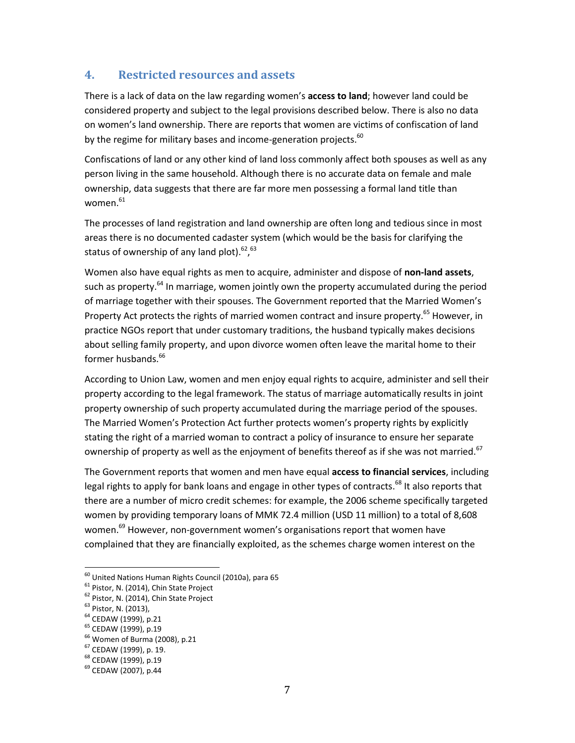## **4. Restricted resources and assets**

There is a lack of data on the law regarding women's **access to land**; however land could be considered property and subject to the legal provisions described below. There is also no data on women's land ownership. There are reports that women are victims of confiscation of land by the regime for military bases and income-generation projects.<sup>60</sup>

Confiscations of land or any other kind of land loss commonly affect both spouses as well as any person living in the same household. Although there is no accurate data on female and male ownership, data suggests that there are far more men possessing a formal land title than women.<sup>61</sup>

The processes of land registration and land ownership are often long and tedious since in most areas there is no documented cadaster system (which would be the basis for clarifying the status of ownership of any land plot).  $62, 63$ 

Women also have equal rights as men to acquire, administer and dispose of **non-land assets**, such as property.<sup>64</sup> In marriage, women jointly own the property accumulated during the period of marriage together with their spouses. The Government reported that the Married Women's Property Act protects the rights of married women contract and insure property.<sup>65</sup> However, in practice NGOs report that under customary traditions, the husband typically makes decisions about selling family property, and upon divorce women often leave the marital home to their former husbands.<sup>66</sup>

According to Union Law, women and men enjoy equal rights to acquire, administer and sell their property according to the legal framework. The status of marriage automatically results in joint property ownership of such property accumulated during the marriage period of the spouses. The Married Women's Protection Act further protects women's property rights by explicitly stating the right of a married woman to contract a policy of insurance to ensure her separate ownership of property as well as the enjoyment of benefits thereof as if she was not married.<sup>67</sup>

The Government reports that women and men have equal **access to financial services**, including legal rights to apply for bank loans and engage in other types of contracts.<sup>68</sup> It also reports that there are a number of micro credit schemes: for example, the 2006 scheme specifically targeted women by providing temporary loans of MMK 72.4 million (USD 11 million) to a total of 8,608 women.<sup>69</sup> However, non-government women's organisations report that women have complained that they are financially exploited, as the schemes charge women interest on the

 $^{60}$  United Nations Human Rights Council (2010a), para 65

<sup>&</sup>lt;sup>61</sup> Pistor, N. (2014), Chin State Project

<sup>&</sup>lt;sup>62</sup> Pistor, N. (2014), Chin State Project

<sup>63</sup> Pistor, N. (2013),

<sup>64</sup> CEDAW (1999), p.21

<sup>65</sup> CEDAW (1999), p.19

<sup>66</sup> Women of Burma (2008), p.21

<sup>67</sup> CEDAW (1999), p. 19.

<sup>68</sup> CEDAW (1999), p.19

<sup>&</sup>lt;sup>69</sup> CEDAW (2007), p.44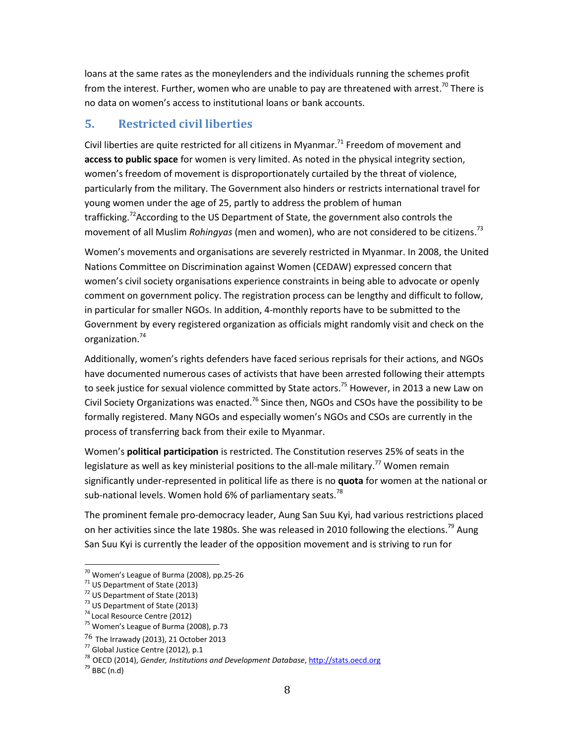loans at the same rates as the moneylenders and the individuals running the schemes profit from the interest. Further, women who are unable to pay are threatened with arrest.<sup>70</sup> There is no data on women's access to institutional loans or bank accounts.

# **5. Restricted civil liberties**

Civil liberties are quite restricted for all citizens in Myanmar.<sup>71</sup> Freedom of movement and **access to public space** for women is very limited. As noted in the physical integrity section, women's freedom of movement is disproportionately curtailed by the threat of violence, particularly from the military. The Government also hinders or restricts international travel for young women under the age of 25, partly to address the problem of human trafficking.<sup>72</sup>According to the US Department of State, the government also controls the movement of all Muslim *Rohingyas* (men and women), who are not considered to be citizens. 73

Women's movements and organisations are severely restricted in Myanmar. In 2008, the United Nations Committee on Discrimination against Women (CEDAW) expressed concern that women's civil society organisations experience constraints in being able to advocate or openly comment on government policy. The registration process can be lengthy and difficult to follow, in particular for smaller NGOs. In addition, 4-monthly reports have to be submitted to the Government by every registered organization as officials might randomly visit and check on the organization. 74

Additionally, women's rights defenders have faced serious reprisals for their actions, and NGOs have documented numerous cases of activists that have been arrested following their attempts to seek justice for sexual violence committed by State actors.<sup>75</sup> However, in 2013 a new Law on Civil Society Organizations was enacted.<sup>76</sup> Since then, NGOs and CSOs have the possibility to be formally registered. Many NGOs and especially women's NGOs and CSOs are currently in the process of transferring back from their exile to Myanmar.

Women's **political participation** is restricted. The Constitution reserves 25% of seats in the legislature as well as key ministerial positions to the all-male military.<sup>77</sup> Women remain significantly under-represented in political life as there is no **quota** for women at the national or sub-national levels. Women hold 6% of parliamentary seats.<sup>78</sup>

The prominent female pro-democracy leader, Aung San Suu Kyi, had various restrictions placed on her activities since the late 1980s. She was released in 2010 following the elections.<sup>79</sup> Aung San Suu Kyi is currently the leader of the opposition movement and is striving to run for

 $70$  Women's League of Burma (2008), pp.25-26

 $71$  US Department of State (2013)

<sup>72</sup> US Department of State (2013)

<sup>&</sup>lt;sup>73</sup> US Department of State (2013)

<sup>74</sup> Local Resource Centre (2012)

<sup>75</sup> Women's League of Burma (2008), p.73

<sup>76</sup> The Irrawady (2013), 21 October 2013

<sup>77</sup> Global Justice Centre (2012), p.1

<sup>78</sup> OECD (2014), *Gender, Institutions and Development Database*, [http://stats.oecd.org](http://stats.oecd.org/)

 $79$  BBC (n.d)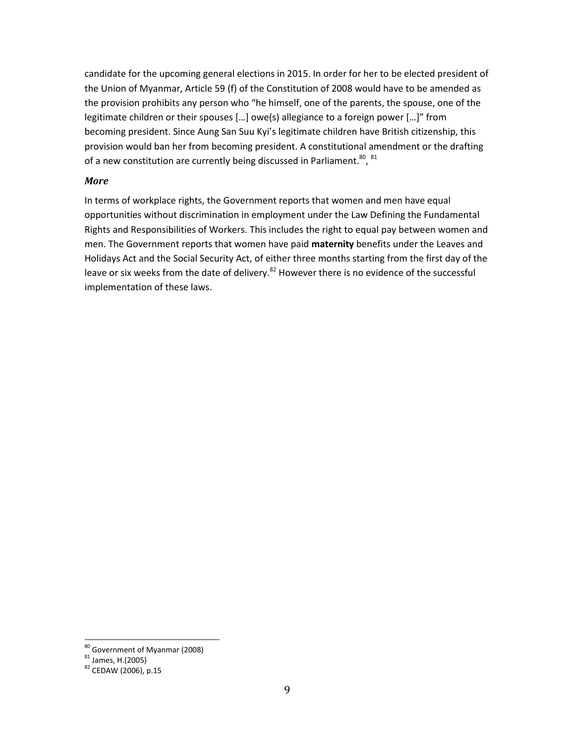candidate for the upcoming general elections in 2015. In order for her to be elected president of the Union of Myanmar, Article 59 (f) of the Constitution of 2008 would have to be amended as the provision prohibits any person who "he himself, one of the parents, the spouse, one of the legitimate children or their spouses […] owe(s) allegiance to a foreign power […]" from becoming president. Since Aung San Suu Kyi's legitimate children have British citizenship, this provision would ban her from becoming president. A constitutional amendment or the drafting of a new constitution are currently being discussed in Parliament.<sup>80, 81</sup>

### *More*

In terms of workplace rights, the Government reports that women and men have equal opportunities without discrimination in employment under the Law Defining the Fundamental Rights and Responsibilities of Workers. This includes the right to equal pay between women and men. The Government reports that women have paid **maternity** benefits under the Leaves and Holidays Act and the Social Security Act, of either three months starting from the first day of the leave or six weeks from the date of delivery.<sup>82</sup> However there is no evidence of the successful implementation of these laws.

<sup>&</sup>lt;sup>80</sup> Government of Myanmar (2008)

 $81$  James, H.(2005)

<sup>82</sup> CEDAW (2006), p.15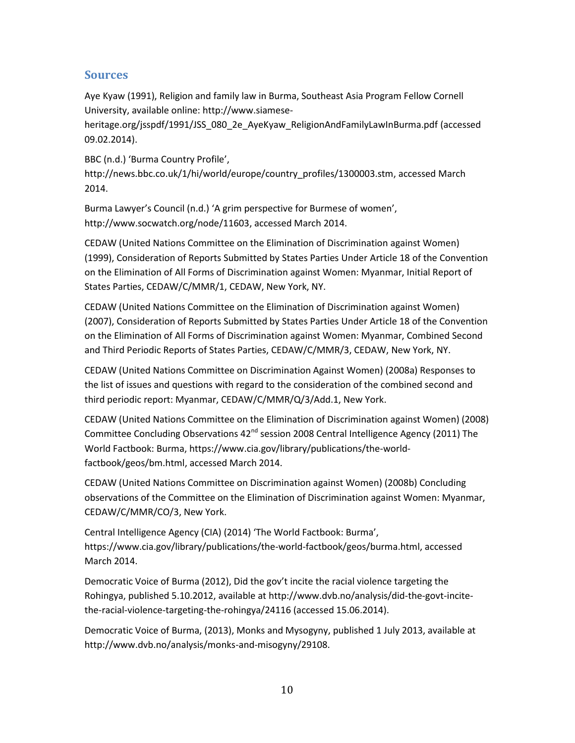# **Sources**

Aye Kyaw (1991), Religion and family law in Burma, Southeast Asia Program Fellow Cornell University, available online: [http://www.siamese-](http://www.siamese-heritage.org/jsspdf/1991/JSS_080_2e_AyeKyaw_ReligionAndFamilyLawInBurma.pdf)

[heritage.org/jsspdf/1991/JSS\\_080\\_2e\\_AyeKyaw\\_ReligionAndFamilyLawInBurma.pdf](http://www.siamese-heritage.org/jsspdf/1991/JSS_080_2e_AyeKyaw_ReligionAndFamilyLawInBurma.pdf) (accessed 09.02.2014).

BBC (n.d.) 'Burma Country Profile', [http://news.bbc.co.uk/1/hi/world/europe/country\\_profiles/1300003.stm,](http://news.bbc.co.uk/1/hi/world/europe/country_profiles/1300003.stm) accessed March 2014.

Burma Lawyer's Council (n.d.) 'A grim perspective for Burmese of women', [http://www.socwatch.org/node/11603,](http://www.socwatch.org/node/11603) accessed March 2014.

CEDAW (United Nations Committee on the Elimination of Discrimination against Women) (1999), Consideration of Reports Submitted by States Parties Under Article 18 of the Convention on the Elimination of All Forms of Discrimination against Women: Myanmar, Initial Report of States Parties, CEDAW/C/MMR/1, CEDAW, New York, NY.

CEDAW (United Nations Committee on the Elimination of Discrimination against Women) (2007), Consideration of Reports Submitted by States Parties Under Article 18 of the Convention on the Elimination of All Forms of Discrimination against Women: Myanmar, Combined Second and Third Periodic Reports of States Parties, CEDAW/C/MMR/3, CEDAW, New York, NY.

CEDAW (United Nations Committee on Discrimination Against Women) (2008a) Responses to the list of issues and questions with regard to the consideration of the combined second and third periodic report: Myanmar, CEDAW/C/MMR/Q/3/Add.1, New York.

CEDAW (United Nations Committee on the Elimination of Discrimination against Women) (2008) Committee Concluding Observations 42<sup>nd</sup> session 2008 Central Intelligence Agency (2011) The World Factbook: Burma[, https://www.cia.gov/library/publications/the-world](https://www.cia.gov/library/publications/the-world-factbook/geos/bm.html)[factbook/geos/bm.html,](https://www.cia.gov/library/publications/the-world-factbook/geos/bm.html) accessed March 2014.

CEDAW (United Nations Committee on Discrimination against Women) (2008b) Concluding observations of the Committee on the Elimination of Discrimination against Women: Myanmar, CEDAW/C/MMR/CO/3, New York.

Central Intelligence Agency (CIA) (2014) 'The World Factbook: Burma', [https://www.cia.gov/library/publications/the-world-factbook/geos/burma.html,](https://www.cia.gov/library/publications/the-world-factbook/geos/burma.html) accessed March 2014.

Democratic Voice of Burma (2012), Did the gov't incite the racial violence targeting the Rohingya, published 5.10.2012, available at [http://www.dvb.no/analysis/did-the-govt-incite](http://www.dvb.no/analysis/did-the-govt-incite-the-racial-violence-targeting-the-rohingya/24116)[the-racial-violence-targeting-the-rohingya/24116](http://www.dvb.no/analysis/did-the-govt-incite-the-racial-violence-targeting-the-rohingya/24116) (accessed 15.06.2014).

Democratic Voice of Burma, (2013), Monks and Mysogyny, published 1 July 2013, available at http://www.dvb.no/analysis/monks-and-misogyny/29108.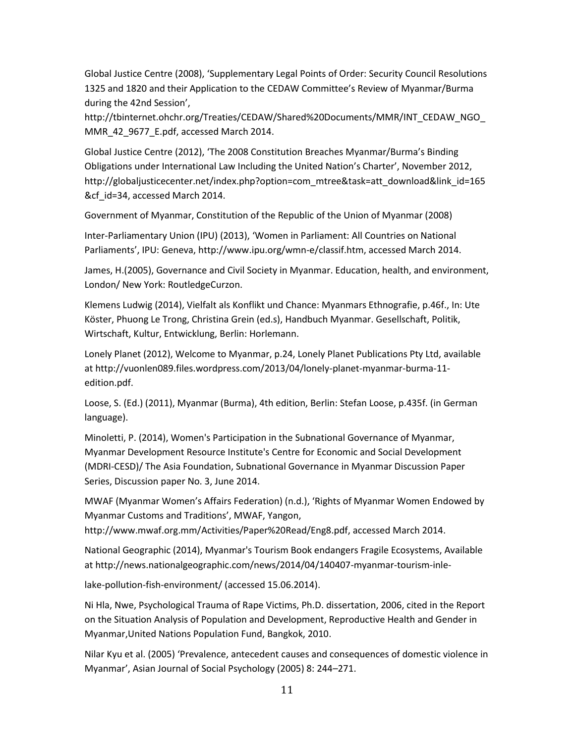Global Justice Centre (2008), 'Supplementary Legal Points of Order: Security Council Resolutions 1325 and 1820 and their Application to the CEDAW Committee's Review of Myanmar/Burma during the 42nd Session',

[http://tbinternet.ohchr.org/Treaties/CEDAW/Shared%20Documents/MMR/INT\\_CEDAW\\_NGO\\_](http://tbinternet.ohchr.org/Treaties/CEDAW/Shared%20Documents/MMR/INT_CEDAW_NGO_MMR_42_9677_E.pdf) [MMR\\_42\\_9677\\_E.pdf,](http://tbinternet.ohchr.org/Treaties/CEDAW/Shared%20Documents/MMR/INT_CEDAW_NGO_MMR_42_9677_E.pdf) accessed March 2014.

Global Justice Centre (2012), 'The 2008 Constitution Breaches Myanmar/Burma's Binding Obligations under International Law Including the United Nation's Charter', November 2012, http://globaljusticecenter.net/index.php?option=com\_mtree&task=att\_download&link\_id=165 &cf id=34, accessed March 2014.

Government of Myanmar, Constitution of the Republic of the Union of Myanmar (2008)

Inter-Parliamentary Union (IPU) (2013), 'Women in Parliament: All Countries on National Parliaments', IPU: Geneva, [http://www.ipu.org/wmn-e/classif.htm,](http://www.ipu.org/wmn-e/classif.htm) accessed March 2014.

James, H.(2005), Governance and Civil Society in Myanmar. Education, health, and environment, London/ New York: RoutledgeCurzon.

Klemens Ludwig (2014), Vielfalt als Konflikt und Chance: Myanmars Ethnografie, p.46f., In: Ute Köster, Phuong Le Trong, Christina Grein (ed.s), Handbuch Myanmar. Gesellschaft, Politik, Wirtschaft, Kultur, Entwicklung, Berlin: Horlemann.

Lonely Planet (2012), Welcome to Myanmar, p.24, Lonely Planet Publications Pty Ltd, available a[t http://vuonlen089.files.wordpress.com/2013/04/lonely-planet-myanmar-burma-11](http://vuonlen089.files.wordpress.com/2013/04/lonely-planet-myanmar-burma-11-edition.pdf) [edition.pdf.](http://vuonlen089.files.wordpress.com/2013/04/lonely-planet-myanmar-burma-11-edition.pdf)

Loose, S. (Ed.) (2011), Myanmar (Burma), 4th edition, Berlin: Stefan Loose, p.435f. (in German language).

Minoletti, P. (2014), Women's Participation in the Subnational Governance of Myanmar, Myanmar Development Resource Institute's Centre for Economic and Social Development (MDRI-CESD)/ The Asia Foundation, Subnational Governance in Myanmar Discussion Paper Series, Discussion paper No. 3, June 2014.

MWAF (Myanmar Women's Affairs Federation) (n.d.), 'Rights of Myanmar Women Endowed by Myanmar Customs and Traditions', MWAF, Yangon,

[http://www.mwaf.org.mm/Activities/Paper%20Read/Eng8.pdf,](http://www.mwaf.org.mm/Activities/Paper%20Read/Eng8.pdf) accessed March 2014.

National Geographic (2014), Myanmar's Tourism Book endangers Fragile Ecosystems, Available a[t http://news.nationalgeographic.com/news/2014/04/140407-myanmar-tourism-inle-](http://news.nationalgeographic.com/news/2014/04/140407-myanmar-tourism-inle-)

lake-pollution-fish-environment/ (accessed 15.06.2014).

Ni Hla, Nwe, Psychological Trauma of Rape Victims, Ph.D. dissertation, 2006, cited in the Report on the Situation Analysis of Population and Development, Reproductive Health and Gender in Myanmar,United Nations Population Fund, Bangkok, 2010.

Nilar Kyu et al. (2005) 'Prevalence, antecedent causes and consequences of domestic violence in Myanmar', Asian Journal of Social Psychology (2005) 8: 244–271.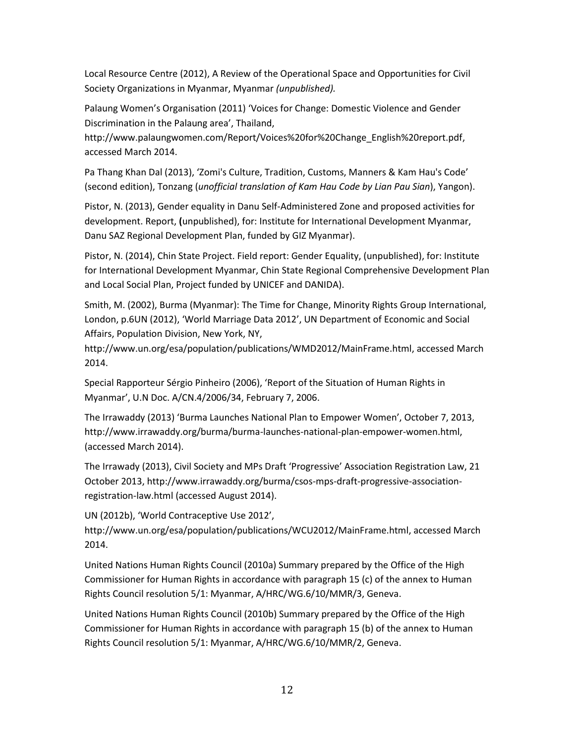Local Resource Centre (2012), A Review of the Operational Space and Opportunities for Civil Society Organizations in Myanmar, Myanmar *(unpublished).*

Palaung Women's Organisation (2011) 'Voices for Change: Domestic Violence and Gender Discrimination in the Palaung area', Thailand,

http://www.palaungwomen.com/Report/Voices%20for%20Change\_English%20report.pdf, accessed March 2014.

Pa Thang Khan Dal (2013), 'Zomi's Culture, Tradition, Customs, Manners & Kam Hau's Code' (second edition), Tonzang (*unofficial translation of Kam Hau Code by Lian Pau Sian*), Yangon).

Pistor, N. (2013), Gender equality in Danu Self-Administered Zone and proposed activities for development. Report, **(**unpublished), for: Institute for International Development Myanmar, Danu SAZ Regional Development Plan, funded by GIZ Myanmar).

Pistor, N. (2014), Chin State Project. Field report: Gender Equality, (unpublished), for: Institute for International Development Myanmar, Chin State Regional Comprehensive Development Plan and Local Social Plan, Project funded by UNICEF and DANIDA).

Smith, M. (2002), Burma (Myanmar): The Time for Change, Minority Rights Group International, London, p.6UN (2012), 'World Marriage Data 2012', UN Department of Economic and Social Affairs, Population Division, New York, NY,

[http://www.un.org/esa/population/publications/WMD2012/MainFrame.html,](http://www.un.org/esa/population/publications/WMD2012/MainFrame.html) accessed March 2014.

Special Rapporteur Sérgio Pinheiro (2006), 'Report of the Situation of Human Rights in Myanmar', U.N Doc. A/CN.4/2006/34, February 7, 2006.

The Irrawaddy (2013) 'Burma Launches National Plan to Empower Women', October 7, 2013, http://www.irrawaddy.org/burma/burma-launches-national-plan-empower-women.html, (accessed March 2014).

The Irrawady (2013), Civil Society and MPs Draft 'Progressive' Association Registration Law, 21 October 2013[, http://www.irrawaddy.org/burma/csos-mps-draft-progressive-association](http://www.irrawaddy.org/burma/csos-mps-draft-progressive-association-registration-law.html)[registration-law.html](http://www.irrawaddy.org/burma/csos-mps-draft-progressive-association-registration-law.html) (accessed August 2014).

UN (2012b), 'World Contraceptive Use 2012', http://www.un.org/esa/population/publications/WCU2012/MainFrame.html, accessed March 2014.

United Nations Human Rights Council (2010a) Summary prepared by the Office of the High Commissioner for Human Rights in accordance with paragraph 15 (c) of the annex to Human Rights Council resolution 5/1: Myanmar, A/HRC/WG.6/10/MMR/3, Geneva.

United Nations Human Rights Council (2010b) Summary prepared by the Office of the High Commissioner for Human Rights in accordance with paragraph 15 (b) of the annex to Human Rights Council resolution 5/1: Myanmar, A/HRC/WG.6/10/MMR/2, Geneva.